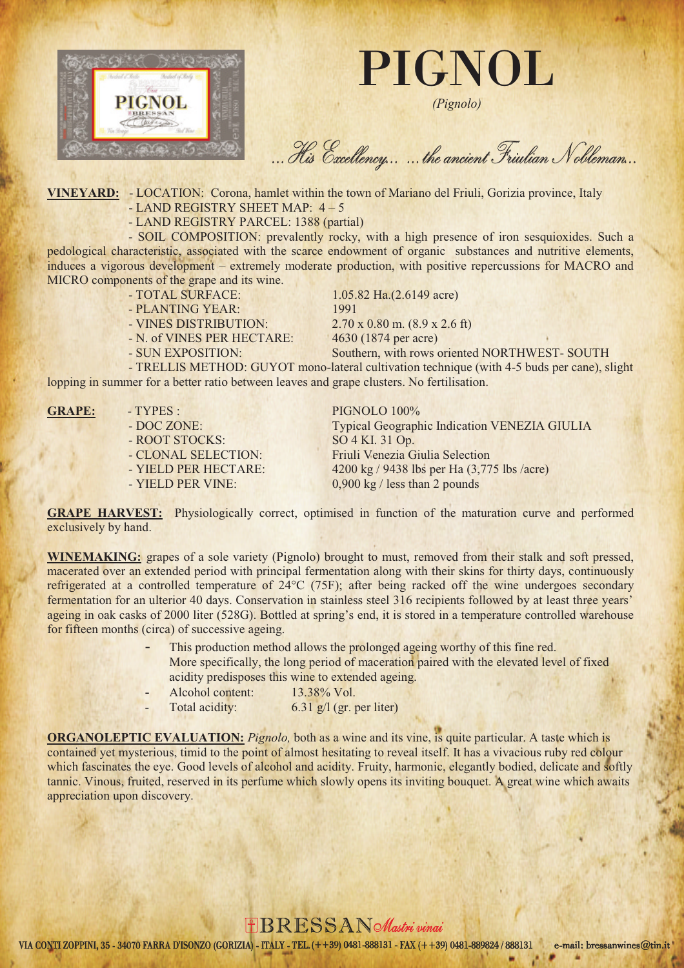

PIGNOL

*(Pignolo)*

... His Excellency... ... the ancient Friulian Nobleman...

**VINEYARD:** - LOCATION: Corona, hamlet within the town of Mariano del Friuli, Gorizia province, Italy - LAND REGISTRY SHEET MAP: 4 – 5

- LAND REGISTRY PARCEL: 1388 (partial)

- SOIL COMPOSITION: prevalently rocky, with a high presence of iron sesquioxides. Such a pedological characteristic, associated with the scarce endowment of organic substances and nutritive elements, induces a vigorous development – extremely moderate production, with positive repercussions for MACRO and MICRO components of the grape and its wine.

- TOTAL SURFACE: 1.05.82 Ha.(2.6149 acre)
- PLANTING YEAR: 1991
- VINES DISTRIBUTION: 2.70 x 0.80 m. (8.9 x 2.6 ft)
- N. of VINES PER HECTARE: 4630 (1874 per acre)
- SUN EXPOSITION: Southern, with rows oriented NORTHWEST- SOUTH

- TRELLIS METHOD: GUYOT mono-lateral cultivation technique (with 4-5 buds per cane), slight lopping in summer for a better ratio between leaves and grape clusters. No fertilisation.

- ROOT STOCKS: SO 4 KI. 31 Op.
- 

GRAPE: - TYPES : PIGNOLO 100% - DOC ZONE: Typical Geographic Indication VENEZIA GIULIA - CLONAL SELECTION: Friuli Venezia Giulia Selection - YIELD PER HECTARE: 4200 kg / 9438 lbs per Ha (3,775 lbs /acre) - YIELD PER VINE: 0,900 kg / less than 2 pounds

**GRAPE HARVEST:** Physiologically correct, optimised in function of the maturation curve and performed exclusively by hand.

**WINEMAKING:** grapes of a sole variety (Pignolo) brought to must, removed from their stalk and soft pressed, macerated over an extended period with principal fermentation along with their skins for thirty days, continuously refrigerated at a controlled temperature of 24°C (75F); after being racked off the wine undergoes secondary fermentation for an ulterior 40 days. Conservation in stainless steel 316 recipients followed by at least three years' ageing in oak casks of 2000 liter (528G). Bottled at spring's end, it is stored in a temperature controlled warehouse for fifteen months (circa) of successive ageing.

- This production method allows the prolonged ageing worthy of this fine red. More specifically, the long period of maceration paired with the elevated level of fixed acidity predisposes this wine to extended ageing.
- Alcohol content: 13.38% Vol.
- Total acidity: 6.31 g/l (gr. per liter)

**ORGANOLEPTIC EVALUATION:** *Pignolo*, both as a wine and its vine, is quite particular. A taste which is contained yet mysterious, timid to the point of almost hesitating to reveal itself. It has a vivacious ruby red colour which fascinates the eye. Good levels of alcohol and acidity. Fruity, harmonic, elegantly bodied, delicate and softly tannic. Vinous, fruited, reserved in its perfume which slowly opens its inviting bouquet. A great wine which awaits appreciation upon discovery.

## FBRESSAN Mastri vinai

VIA CONTI ZOPPINI, 35 - 34070 FARRA D'ISONZO (GORIZIA) - ITALY - TEL. (++39) 0481-888131 - FAX (++39) 0481-889824 / 888131